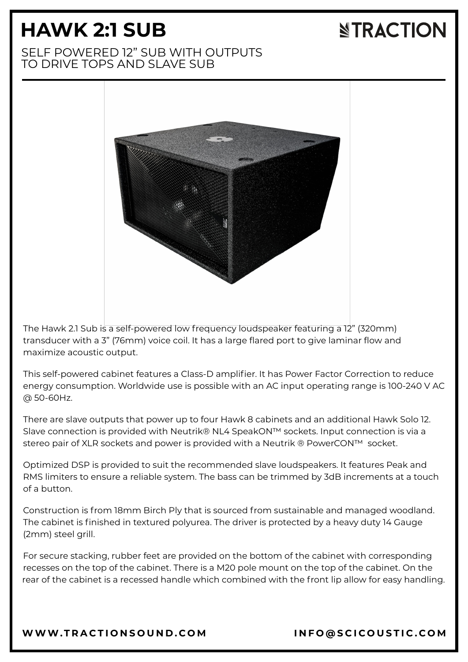## **HAWK 2:1 SUB**

# **NTRACTION**

## SELF POWERED 12" SUB WITH OUTPUTS TO DRIVE TOPS AND SLAVE SUB



The Hawk 2.1 Sub is a self-powered low frequency loudspeaker featuring a 12" (320mm) transducer with a 3" (76mm) voice coil. It has a large flared port to give laminar flow and maximize acoustic output.

This self-powered cabinet features a Class-D amplifier. It has Power Factor Correction to reduce energy consumption. Worldwide use is possible with an AC input operating range is 100-240 V AC @ 50-60Hz.

There are slave outputs that power up to four Hawk 8 cabinets and an additional Hawk Solo 12. Slave connection is provided with Neutrik® NL4 SpeakON™ sockets. Input connection is via a stereo pair of XLR sockets and power is provided with a Neutrik ® PowerCON™ socket.

Optimized DSP is provided to suit the recommended slave loudspeakers. It features Peak and RMS limiters to ensure a reliable system. The bass can be trimmed by 3dB increments at a touch of a button.

Construction is from 18mm Birch Ply that is sourced from sustainable and managed woodland. The cabinet is finished in textured polyurea. The driver is protected by a heavy duty 14 Gauge (2mm) steel grill.

For secure stacking, rubber feet are provided on the bottom of the cabinet with corresponding recesses on the top of the cabinet. There is a M20 pole mount on the top of the cabinet. On the rear of the cabinet is a recessed handle which combined with the front lip allow for easy handling.

[WWW.T](https://www.tractionsound.com/)RACTIONSOUND.COM INFO[@](mailto:info@scicoustic.com)SCICOUSTIC.COM